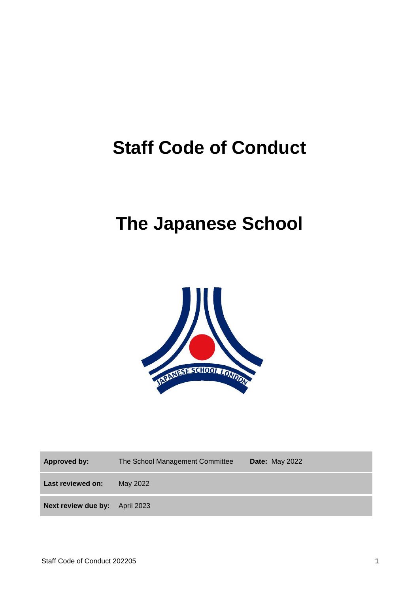# **Staff Code of Conduct**

# **The Japanese School**



| <b>Approved by:</b> | The School Management Committee | <b>Date: May 2022</b> |
|---------------------|---------------------------------|-----------------------|
| Last reviewed on:   | May 2022                        |                       |
| Next review due by: | <b>April 2023</b>               |                       |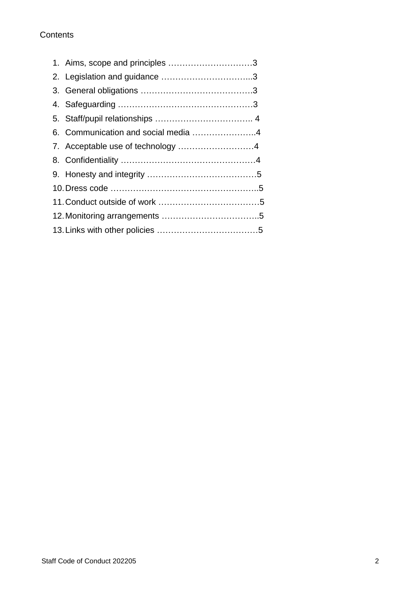#### **Contents**

|  | 1. Aims, scope and principles 3     |  |
|--|-------------------------------------|--|
|  |                                     |  |
|  |                                     |  |
|  |                                     |  |
|  |                                     |  |
|  | 6. Communication and social media 4 |  |
|  |                                     |  |
|  |                                     |  |
|  |                                     |  |
|  |                                     |  |
|  |                                     |  |
|  |                                     |  |
|  |                                     |  |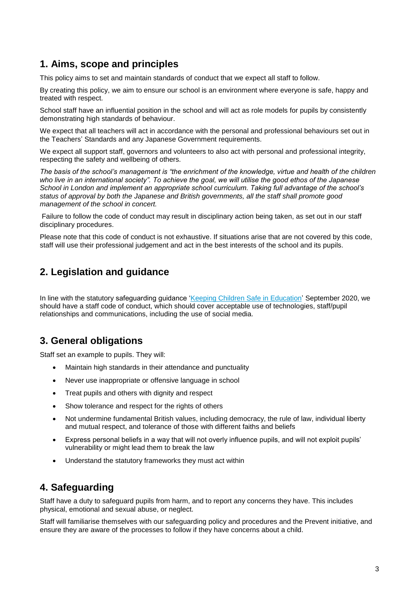## **1. Aims, scope and principles**

This policy aims to set and maintain standards of conduct that we expect all staff to follow.

By creating this policy, we aim to ensure our school is an environment where everyone is safe, happy and treated with respect.

School staff have an influential position in the school and will act as role models for pupils by consistently demonstrating high standards of behaviour.

We expect that all teachers will act in accordance with the personal and professional behaviours set out in the Teachers' Standards and any Japanese Government requirements.

We expect all support staff, governors and volunteers to also act with personal and professional integrity, respecting the safety and wellbeing of others.

*The basis of the school's management is "the enrichment of the knowledge, virtue and health of the children who live in an international society". To achieve the goal, we will utilise the good ethos of the Japanese School in London and implement an appropriate school curriculum. Taking full advantage of the school's status of approval by both the Japanese and British governments, all the staff shall promote good management of the school in concert.*

Failure to follow the code of conduct may result in disciplinary action being taken, as set out in our staff disciplinary procedures.

Please note that this code of conduct is not exhaustive. If situations arise that are not covered by this code, staff will use their professional judgement and act in the best interests of the school and its pupils.

# **2. Legislation and guidance**

In line with the statutory safeguarding guidance ['Keeping Children Safe in Education'](https://www.gov.uk/government/publications/keeping-children-safe-in-education--2) September 2020, we should have a staff code of conduct, which should cover acceptable use of technologies, staff/pupil relationships and communications, including the use of social media.

## **3. General obligations**

Staff set an example to pupils. They will:

- Maintain high standards in their attendance and punctuality
- Never use inappropriate or offensive language in school
- Treat pupils and others with dignity and respect
- Show tolerance and respect for the rights of others
- Not undermine fundamental British values, including democracy, the rule of law, individual liberty and mutual respect, and tolerance of those with different faiths and beliefs
- Express personal beliefs in a way that will not overly influence pupils, and will not exploit pupils' vulnerability or might lead them to break the law
- Understand the statutory frameworks they must act within

## **4. Safeguarding**

Staff have a duty to safeguard pupils from harm, and to report any concerns they have. This includes physical, emotional and sexual abuse, or neglect.

Staff will familiarise themselves with our safeguarding policy and procedures and the Prevent initiative, and ensure they are aware of the processes to follow if they have concerns about a child.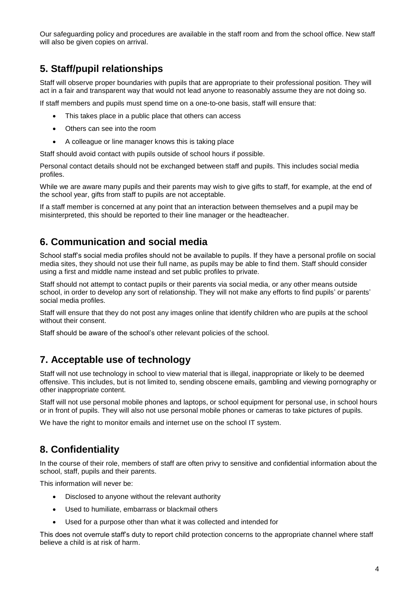Our safeguarding policy and procedures are available in the staff room and from the school office. New staff will also be given copies on arrival.

## **5. Staff/pupil relationships**

Staff will observe proper boundaries with pupils that are appropriate to their professional position. They will act in a fair and transparent way that would not lead anyone to reasonably assume they are not doing so.

If staff members and pupils must spend time on a one-to-one basis, staff will ensure that:

- This takes place in a public place that others can access
- Others can see into the room
- A colleague or line manager knows this is taking place

Staff should avoid contact with pupils outside of school hours if possible.

Personal contact details should not be exchanged between staff and pupils. This includes social media profiles.

While we are aware many pupils and their parents may wish to give gifts to staff, for example, at the end of the school year, gifts from staff to pupils are not acceptable.

If a staff member is concerned at any point that an interaction between themselves and a pupil may be misinterpreted, this should be reported to their line manager or the headteacher.

#### **6. Communication and social media**

School staff's social media profiles should not be available to pupils. If they have a personal profile on social media sites, they should not use their full name, as pupils may be able to find them. Staff should consider using a first and middle name instead and set public profiles to private.

Staff should not attempt to contact pupils or their parents via social media, or any other means outside school, in order to develop any sort of relationship. They will not make any efforts to find pupils' or parents' social media profiles.

Staff will ensure that they do not post any images online that identify children who are pupils at the school without their consent.

Staff should be aware of the school's other relevant policies of the school.

## **7. Acceptable use of technology**

Staff will not use technology in school to view material that is illegal, inappropriate or likely to be deemed offensive. This includes, but is not limited to, sending obscene emails, gambling and viewing pornography or other inappropriate content.

Staff will not use personal mobile phones and laptops, or school equipment for personal use, in school hours or in front of pupils. They will also not use personal mobile phones or cameras to take pictures of pupils.

We have the right to monitor emails and internet use on the school IT system.

## **8. Confidentiality**

In the course of their role, members of staff are often privy to sensitive and confidential information about the school, staff, pupils and their parents.

This information will never be:

- Disclosed to anyone without the relevant authority
- Used to humiliate, embarrass or blackmail others
- Used for a purpose other than what it was collected and intended for

This does not overrule staff's duty to report child protection concerns to the appropriate channel where staff believe a child is at risk of harm.